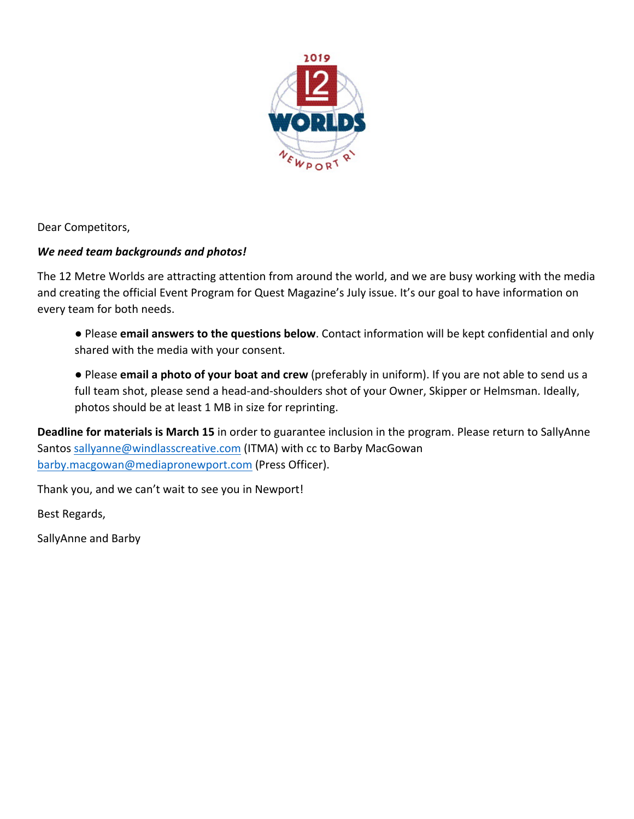

Dear Competitors,

## *We need team backgrounds and photos!*

The 12 Metre Worlds are attracting attention from around the world, and we are busy working with the media and creating the official Event Program for Quest Magazine's July issue. It's our goal to have information on every team for both needs.

- Please email answers to the questions below. Contact information will be kept confidential and only shared with the media with your consent.
- Please **email a photo of your boat and crew** (preferably in uniform). If you are not able to send us a full team shot, please send a head-and-shoulders shot of your Owner, Skipper or Helmsman. Ideally, photos should be at least 1 MB in size for reprinting.

**Deadline for materials is March 15** in order to guarantee inclusion in the program. Please return to SallyAnne Santos sallyanne@windlasscreative.com (ITMA) with cc to Barby MacGowan barby.macgowan@mediapronewport.com (Press Officer).

Thank you, and we can't wait to see you in Newport!

Best Regards,

SallyAnne and Barby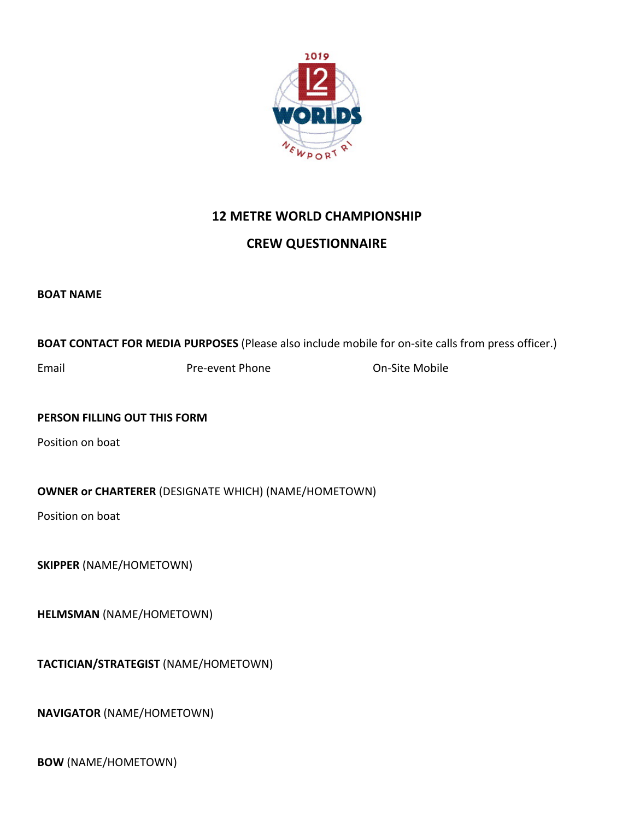

## **12 METRE WORLD CHAMPIONSHIP**

## **CREW QUESTIONNAIRE**

**BOAT NAME** 

**BOAT CONTACT FOR MEDIA PURPOSES** (Please also include mobile for on-site calls from press officer.)

Email **Email** Pre-event Phone **Con-Site Mobile** 

**PERSON FILLING OUT THIS FORM** 

Position on boat

**OWNER or CHARTERER** (DESIGNATE WHICH) (NAME/HOMETOWN)

Position on boat

**SKIPPER** (NAME/HOMETOWN)

**HELMSMAN** (NAME/HOMETOWN)

**TACTICIAN/STRATEGIST** (NAME/HOMETOWN)

**NAVIGATOR** (NAME/HOMETOWN)

**BOW** (NAME/HOMETOWN)